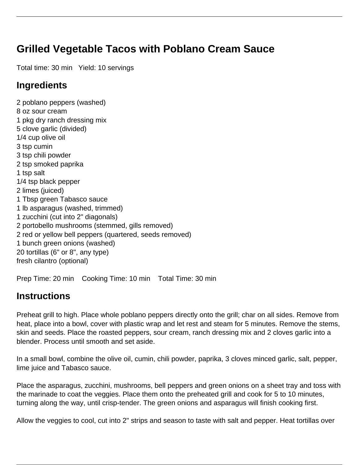## **Grilled Vegetable Tacos with Poblano Cream Sauce**

Total time: 30 min Yield: 10 servings

## **Ingredients**

2 poblano peppers (washed) 8 oz sour cream 1 pkg dry ranch dressing mix 5 clove garlic (divided) 1/4 cup olive oil 3 tsp cumin 3 tsp chili powder 2 tsp smoked paprika 1 tsp salt 1/4 tsp black pepper 2 limes (juiced) 1 Tbsp green Tabasco sauce 1 lb asparagus (washed, trimmed) 1 zucchini (cut into 2" diagonals) 2 portobello mushrooms (stemmed, gills removed) 2 red or yellow bell peppers (quartered, seeds removed) 1 bunch green onions (washed) 20 tortillas (6" or 8", any type) fresh cilantro (optional)

Prep Time: 20 min Cooking Time: 10 min Total Time: 30 min

## **Instructions**

Preheat grill to high. Place whole poblano peppers directly onto the grill; char on all sides. Remove from heat, place into a bowl, cover with plastic wrap and let rest and steam for 5 minutes. Remove the stems, skin and seeds. Place the roasted peppers, sour cream, ranch dressing mix and 2 cloves garlic into a blender. Process until smooth and set aside.

In a small bowl, combine the olive oil, cumin, chili powder, paprika, 3 cloves minced garlic, salt, pepper, lime juice and Tabasco sauce.

Place the asparagus, zucchini, mushrooms, bell peppers and green onions on a sheet tray and toss with the marinade to coat the veggies. Place them onto the preheated grill and cook for 5 to 10 minutes, turning along the way, until crisp-tender. The green onions and asparagus will finish cooking first.

Allow the veggies to cool, cut into 2" strips and season to taste with salt and pepper. Heat tortillas over